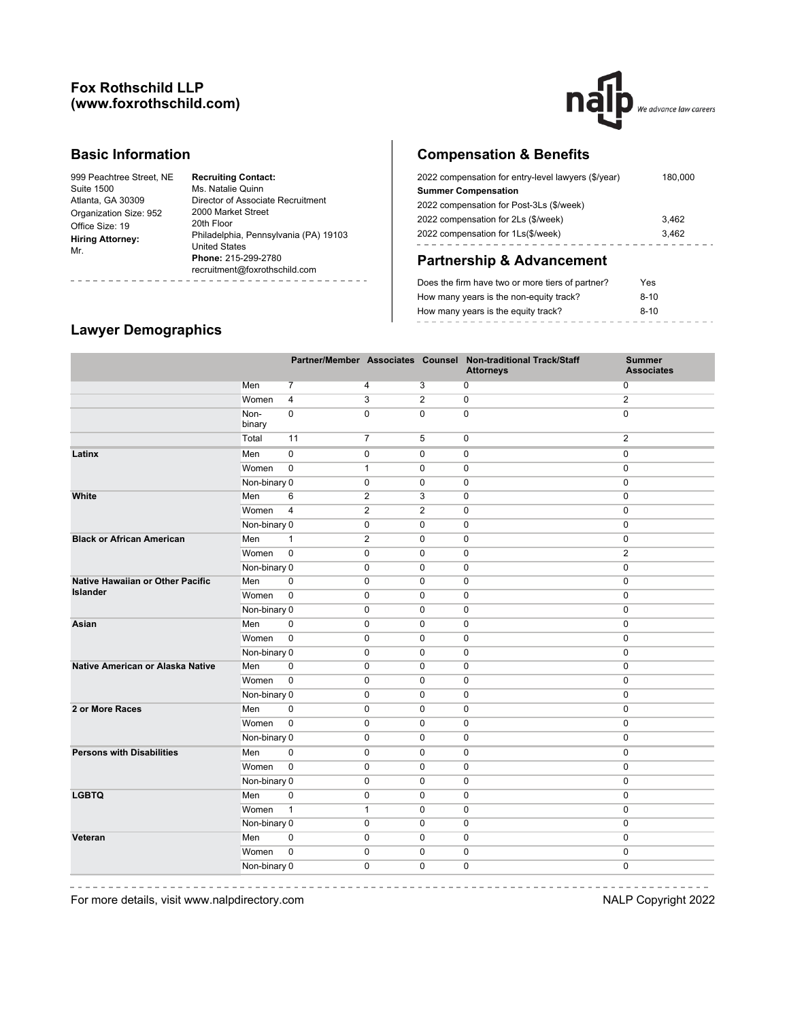## **Fox Rothschild LLP (www.foxrothschild.com)**



## **Basic Information**

| 999 Peachtree Street, NE       | <b>Recruiting Contact:</b>            |
|--------------------------------|---------------------------------------|
| Suite 1500                     | Ms. Natalie Quinn                     |
| Atlanta, GA 30309              | Director of Associate Recruitment     |
| Organization Size: 952         | 2000 Market Street                    |
| Office Size: 19                | 20th Floor                            |
| <b>Hiring Attorney:</b><br>Mr. | Philadelphia, Pennsylvania (PA) 19103 |
|                                | <b>United States</b>                  |
|                                | Phone: 215-299-2780                   |
|                                | recruitment@foxrothschild.com         |
|                                |                                       |

# **Compensation & Benefits**

| 2022 compensation for entry-level lawyers (\$/year) | 180,000 |
|-----------------------------------------------------|---------|
| <b>Summer Compensation</b>                          |         |
| 2022 compensation for Post-3Ls (\$/week)            |         |
| 2022 compensation for 2Ls (\$/week)                 | 3.462   |
| 2022 compensation for 1Ls(\$/week)                  | 3.462   |
|                                                     |         |

# **Partnership & Advancement**

| Does the firm have two or more tiers of partner? | Yes    |
|--------------------------------------------------|--------|
| How many years is the non-equity track?          | $8-10$ |
| How many years is the equity track?              | $8-10$ |
|                                                  |        |

## **Lawyer Demographics**

|                                         |                |                |                |                | Partner/Member Associates Counsel Non-traditional Track/Staff<br><b>Attorneys</b> | <b>Summer</b><br><b>Associates</b> |
|-----------------------------------------|----------------|----------------|----------------|----------------|-----------------------------------------------------------------------------------|------------------------------------|
|                                         | Men            | $\overline{7}$ | $\overline{4}$ | $\overline{3}$ | 0                                                                                 | 0                                  |
|                                         | Women          | 4              | 3              | $\mathbf{2}$   | $\pmb{0}$                                                                         | $\overline{\mathbf{c}}$            |
|                                         | Non-<br>binary | 0              | $\mathbf 0$    | $\Omega$       | $\mathbf 0$                                                                       | $\mathbf 0$                        |
|                                         | Total          | 11             | $\overline{7}$ | 5              | $\pmb{0}$                                                                         | 2                                  |
| Latinx                                  | Men            | $\mathbf 0$    | $\pmb{0}$      | $\mathbf 0$    | $\mathbf 0$                                                                       | $\mathbf 0$                        |
|                                         | Women          | $\mathbf 0$    | $\mathbf{1}$   | $\mathbf 0$    | $\mathbf 0$                                                                       | $\mathbf 0$                        |
|                                         | Non-binary 0   |                | $\mathbf 0$    | $\mathbf 0$    | $\mathbf 0$                                                                       | $\mathbf 0$                        |
| White                                   | Men            | $\,6$          | $\overline{2}$ | 3              | $\mathbf 0$                                                                       | $\mathbf 0$                        |
|                                         | Women          | $\overline{4}$ | $\overline{2}$ | $\overline{2}$ | $\pmb{0}$                                                                         | $\mathbf 0$                        |
|                                         | Non-binary 0   |                | $\mathbf 0$    | $\mathbf 0$    | $\mathbf 0$                                                                       | $\mathbf 0$                        |
| <b>Black or African American</b>        | Men            | $\mathbf{1}$   | $\overline{2}$ | $\mathbf 0$    | $\mathbf 0$                                                                       | $\mathbf 0$                        |
|                                         | Women          | $\overline{0}$ | $\mathbf 0$    | $\mathbf 0$    | $\pmb{0}$                                                                         | $\overline{2}$                     |
|                                         | Non-binary 0   |                | $\mathbf 0$    | $\mathbf 0$    | $\mathbf 0$                                                                       | $\mathbf 0$                        |
| <b>Native Hawaiian or Other Pacific</b> | Men            | $\mathbf 0$    | $\mathbf 0$    | $\mathbf 0$    | $\mathbf 0$                                                                       | $\mathbf 0$                        |
| <b>Islander</b>                         | Women          | $\overline{0}$ | $\mathbf 0$    | $\mathbf 0$    | $\pmb{0}$                                                                         | $\mathbf 0$                        |
|                                         | Non-binary 0   |                | 0              | $\mathbf 0$    | $\mathbf 0$                                                                       | $\mathbf 0$                        |
| Asian                                   | Men            | $\mathbf 0$    | $\mathbf 0$    | $\Omega$       | $\mathbf 0$                                                                       | $\mathbf 0$                        |
|                                         | Women          | $\mathbf 0$    | $\mathbf 0$    | $\mathbf 0$    | $\mathbf 0$                                                                       | $\mathbf 0$                        |
|                                         | Non-binary 0   |                | $\mathbf 0$    | $\mathbf 0$    | $\mathbf 0$                                                                       | $\mathbf 0$                        |
| Native American or Alaska Native        | Men            | $\mathbf 0$    | $\mathbf 0$    | $\mathbf 0$    | $\mathbf 0$                                                                       | $\mathbf 0$                        |
|                                         | Women          | $\mathbf 0$    | $\mathbf 0$    | $\mathbf 0$    | $\mathbf 0$                                                                       | $\mathbf 0$                        |
|                                         | Non-binary 0   |                | $\mathbf 0$    | $\mathbf 0$    | $\pmb{0}$                                                                         | $\mathbf{0}$                       |
| 2 or More Races                         | Men            | $\mathbf 0$    | $\mathbf 0$    | $\mathbf 0$    | $\mathbf 0$                                                                       | $\mathbf{0}$                       |
|                                         | Women          | $\mathbf 0$    | $\mathbf 0$    | $\mathbf 0$    | $\mathbf 0$                                                                       | $\mathbf 0$                        |
|                                         | Non-binary 0   |                | $\mathbf 0$    | $\mathbf 0$    | $\pmb{0}$                                                                         | $\mathbf 0$                        |
| <b>Persons with Disabilities</b>        | Men            | 0              | $\mathbf 0$    | 0              | $\pmb{0}$                                                                         | 0                                  |
|                                         | Women          | $\pmb{0}$      | $\mathbf 0$    | $\mathbf 0$    | $\mathbf 0$                                                                       | $\mathbf 0$                        |
|                                         | Non-binary 0   |                | $\mathbf 0$    | 0              | $\pmb{0}$                                                                         | 0                                  |
| <b>LGBTQ</b>                            | Men            | 0              | $\pmb{0}$      | 0              | $\pmb{0}$                                                                         | $\pmb{0}$                          |
|                                         | Women          | $\mathbf{1}$   | $\mathbf{1}$   | $\mathbf 0$    | 0                                                                                 | $\mathbf 0$                        |
|                                         | Non-binary 0   |                | $\mathbf 0$    | $\mathbf 0$    | 0                                                                                 | $\mathbf 0$                        |
| Veteran                                 | Men            | $\pmb{0}$      | $\pmb{0}$      | 0              | $\pmb{0}$                                                                         | 0                                  |
|                                         | Women          | $\mathsf 0$    | $\mathbf 0$    | 0              | $\pmb{0}$                                                                         | $\pmb{0}$                          |
|                                         | Non-binary 0   |                | $\mathbf 0$    | $\mathbf 0$    | $\mathbf 0$                                                                       | $\mathbf 0$                        |

-----------

For more details, visit www.nalpdirectory.com **NALP** Copyright 2022

-----------------------------

-----------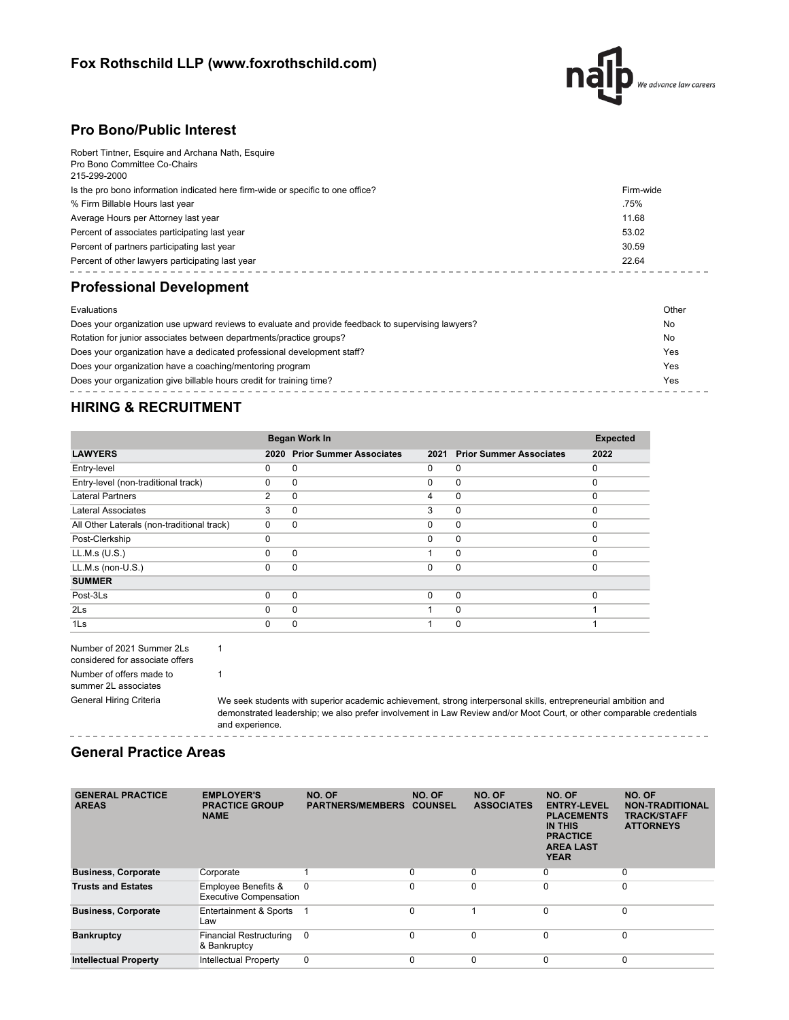## **Fox Rothschild LLP (www.foxrothschild.com)**



## **Pro Bono/Public Interest**

| Robert Tintner, Esquire and Archana Nath, Esquire                               |           |
|---------------------------------------------------------------------------------|-----------|
| Pro Bono Committee Co-Chairs<br>215-299-2000                                    |           |
|                                                                                 |           |
| Is the pro bono information indicated here firm-wide or specific to one office? | Firm-wide |
| % Firm Billable Hours last year                                                 | .75%      |
| Average Hours per Attorney last year                                            | 11.68     |
| Percent of associates participating last year                                   | 53.02     |
| Percent of partners participating last year                                     | 30.59     |
| Percent of other lawyers participating last year                                | 22.64     |
|                                                                                 |           |

# **Professional Development**

| Evaluations                                                                                        | Other |
|----------------------------------------------------------------------------------------------------|-------|
| Does your organization use upward reviews to evaluate and provide feedback to supervising lawyers? | No    |
| Rotation for junior associates between departments/practice groups?                                | No    |
| Does your organization have a dedicated professional development staff?                            | Yes   |
| Does your organization have a coaching/mentoring program                                           | Yes   |
| Does your organization give billable hours credit for training time?                               | Yes   |
|                                                                                                    |       |

# **HIRING & RECRUITMENT**

|                                            | <b>Began Work In</b> | <b>Expected</b>                |          |                                |          |
|--------------------------------------------|----------------------|--------------------------------|----------|--------------------------------|----------|
| <b>LAWYERS</b>                             | 2020                 | <b>Prior Summer Associates</b> | 2021     | <b>Prior Summer Associates</b> | 2022     |
| Entry-level                                | 0                    | 0                              | 0        | $\mathbf 0$                    | $\Omega$ |
| Entry-level (non-traditional track)        | 0                    | 0                              | $\Omega$ | 0                              | $\Omega$ |
| <b>Lateral Partners</b>                    | 2                    | 0                              | 4        | 0                              | $\Omega$ |
| Lateral Associates                         | 3                    | 0                              | 3        | $\mathbf 0$                    | $\Omega$ |
| All Other Laterals (non-traditional track) | $\Omega$             | $\Omega$                       | $\Omega$ | $\mathbf 0$                    | $\Omega$ |
| Post-Clerkship                             | 0                    |                                | $\Omega$ | 0                              | $\Omega$ |
| LL.M.s (U.S.)                              | $\Omega$             | 0                              |          | 0                              | $\Omega$ |
| LL.M.s (non-U.S.)                          | 0                    | $\Omega$                       | $\Omega$ | $\mathbf 0$                    | $\Omega$ |
| <b>SUMMER</b>                              |                      |                                |          |                                |          |
| Post-3Ls                                   | 0                    | 0                              | $\Omega$ | $\mathbf{0}$                   | $\Omega$ |
| 2 <sub>ls</sub>                            | 0                    | $\Omega$                       |          | $\Omega$                       |          |
| 1 <sub>ls</sub>                            | O                    | 0                              |          | $\Omega$                       |          |

| Number of 2021 Summer 2Ls       |  |  |  |
|---------------------------------|--|--|--|
| considered for associate offers |  |  |  |
| Number of offers made to        |  |  |  |
| summer 2L associates            |  |  |  |
| General Hiring Criteria         |  |  |  |

1

1

We seek students with superior academic achievement, strong interpersonal skills, entrepreneurial ambition and demonstrated leadership; we also prefer involvement in Law Review and/or Moot Court, or other comparable credentials and experience. ------------

### **General Practice Areas**

| <b>GENERAL PRACTICE</b><br><b>AREAS</b> | <b>EMPLOYER'S</b><br><b>PRACTICE GROUP</b><br><b>NAME</b> | NO. OF<br><b>PARTNERS/MEMBERS</b> | NO. OF<br><b>COUNSEL</b> | NO. OF<br><b>ASSOCIATES</b> | NO. OF<br><b>ENTRY-LEVEL</b><br><b>PLACEMENTS</b><br><b>IN THIS</b><br><b>PRACTICE</b><br><b>AREA LAST</b><br><b>YEAR</b> | NO. OF<br><b>NON-TRADITIONAL</b><br><b>TRACK/STAFF</b><br><b>ATTORNEYS</b> |
|-----------------------------------------|-----------------------------------------------------------|-----------------------------------|--------------------------|-----------------------------|---------------------------------------------------------------------------------------------------------------------------|----------------------------------------------------------------------------|
| <b>Business, Corporate</b>              | Corporate                                                 |                                   | $\mathbf 0$              | $\Omega$                    | 0                                                                                                                         | $\mathbf 0$                                                                |
| <b>Trusts and Estates</b>               | Employee Benefits &<br><b>Executive Compensation</b>      | $\Omega$                          | $\Omega$                 | $\Omega$                    | 0                                                                                                                         | $\mathbf 0$                                                                |
| <b>Business, Corporate</b>              | Entertainment & Sports<br>Law                             |                                   | $\Omega$                 |                             | $\Omega$                                                                                                                  | $\Omega$                                                                   |
| <b>Bankruptcy</b>                       | <b>Financial Restructuring</b><br>& Bankruptcy            | $\Omega$                          | $\Omega$                 | $\Omega$                    | $\Omega$                                                                                                                  | $\mathbf 0$                                                                |
| <b>Intellectual Property</b>            | <b>Intellectual Property</b>                              | 0                                 | $\Omega$                 | $\Omega$                    | $\Omega$                                                                                                                  | $\mathbf 0$                                                                |